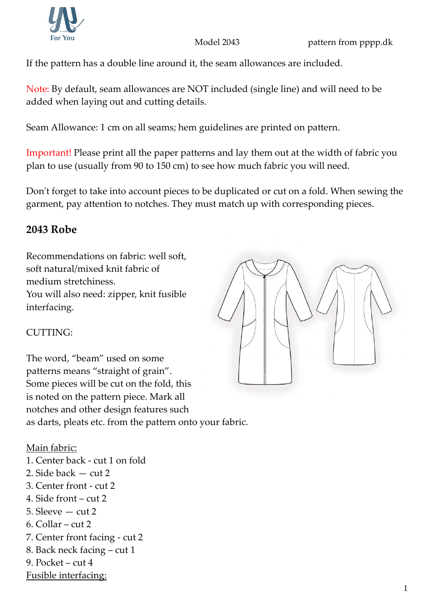

Model 2043 **pattern from pppp.dk** 

If the pattern has a double line around it, the seam allowances are included.

Note: By default, seam allowances are NOT included (single line) and will need to be added when laying out and cutting details.

Seam Allowance: 1 cm on all seams; hem guidelines are printed on pattern.

Important! Please print all the paper patterns and lay them out at the width of fabric you plan to use (usually from 90 to 150 cm) to see how much fabric you will need.

Don't forget to take into account pieces to be duplicated or cut on a fold. When sewing the garment, pay attention to notches. They must match up with corresponding pieces.

## **2043 Robe**

Recommendations on fabric: well soft, soft natural/mixed knit fabric of medium stretchiness. You will also need: zipper, knit fusible interfacing.

## CUTTING:

The word, "beam" used on some patterns means "straight of grain". Some pieces will be cut on the fold, this is noted on the pattern piece. Mark all notches and other design features such as darts, pleats etc. from the pattern onto your fabric.

Main fabric: 1. Center back - cut 1 on fold 2. Side back — cut 2 3. Center front - cut 2 4. Side front – cut 2 5. Sleeve — cut 2 6. Collar – cut 2 7. Center front facing - cut 2 8. Back neck facing – cut 1 9. Pocket – cut 4 Fusible interfacing: